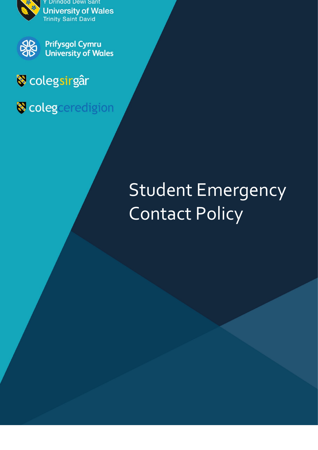





**Prifysgol Cymru University of Wales** 

## **V** colegsirgâr

Colegceredigion

# Student Emergency Contact Policy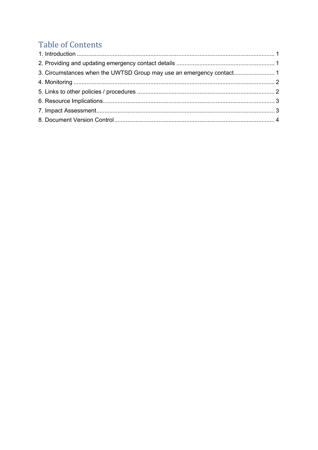### **Table of Contents**

<span id="page-1-0"></span>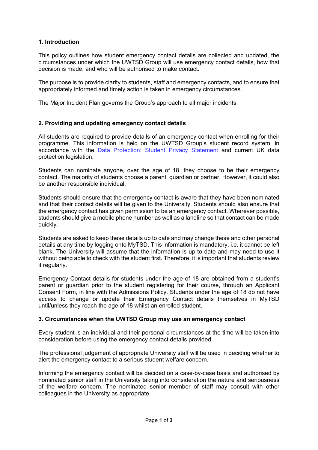#### **1. Introduction**

This policy outlines how student emergency contact details are collected and updated, the circumstances under which the UWTSD Group will use emergency contact details, how that decision is made, and who will be authorised to make contact.

The purpose is to provide clarity to students, staff and emergency contacts, and to ensure that appropriately informed and timely action is taken in emergency circumstances.

The Major Incident Plan governs the Group's approach to all major incidents.

#### <span id="page-2-0"></span>**2. Providing and updating emergency contact details**

All students are required to provide details of an emergency contact when enrolling for their programme. This information is held on the UWTSD Group's student record system, in accordance with the [Data Protection: Student Privacy Statement a](https://www.uwtsd.ac.uk/media/uwtsd-website/content-assets/documents/strategies-policies/student-privacy-statement1.pdf)nd current UK data protection legislation.

Students can nominate anyone, over the age of 18, they choose to be their emergency contact. The majority of students choose a parent, guardian or partner. However, it could also be another responsible individual.

Students should ensure that the emergency contact is aware that they have been nominated and that their contact details will be given to the University. Students should also ensure that the emergency contact has given permission to be an emergency contact. Wherever possible, students should give a mobile phone number as well as a landline so that contact can be made quickly.

Students are asked to keep these details up to date and may change these and other personal details at any time by logging onto MyTSD. This information is mandatory, i.e. it cannot be left blank. The University will assume that the information is up to date and may need to use it without being able to check with the student first. Therefore, it is important that students review it regularly.

Emergency Contact details for students under the age of 18 are obtained from a student's parent or guardian prior to the student registering for their course, through an Applicant Consent Form, in line with the Admissions Policy. Students under the age of 18 do not have access to change or update their Emergency Contact details themselves in MyTSD until/unless they reach the age of 18 whilst an enrolled student.

#### <span id="page-2-1"></span>**3. Circumstances when the UWTSD Group may use an emergency contact**

Every student is an individual and their personal circumstances at the time will be taken into consideration before using the emergency contact details provided.

The professional judgement of appropriate University staff will be used in deciding whether to alert the emergency contact to a serious student welfare concern.

Informing the emergency contact will be decided on a case-by-case basis and authorised by nominated senior staff in the University taking into consideration the nature and seriousness of the welfare concern. The nominated senior member of staff may consult with other colleagues in the University as appropriate.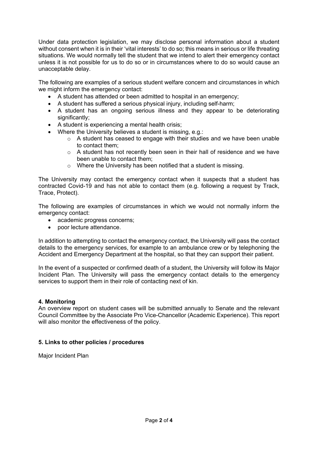Under data protection legislation, we may disclose personal information about a student without consent when it is in their 'vital interests' to do so; this means in serious or life threating situations. We would normally tell the student that we intend to alert their emergency contact unless it is not possible for us to do so or in circumstances where to do so would cause an unacceptable delay.

The following are examples of a serious student welfare concern and circumstances in which we might inform the emergency contact:

- A student has attended or been admitted to hospital in an emergency;
- A student has suffered a serious physical injury, including self-harm;
- A student has an ongoing serious illness and they appear to be deteriorating significantly:
- A student is experiencing a mental health crisis;
- Where the University believes a student is missing, e.g.:
	- o A student has ceased to engage with their studies and we have been unable to contact them;
	- o A student has not recently been seen in their hall of residence and we have been unable to contact them;
	- o Where the University has been notified that a student is missing.

The University may contact the emergency contact when it suspects that a student has contracted Covid-19 and has not able to contact them (e.g. following a request by Track, Trace, Protect).

The following are examples of circumstances in which we would not normally inform the emergency contact:

- academic progress concerns;
- poor lecture attendance.

In addition to attempting to contact the emergency contact, the University will pass the contact details to the emergency services, for example to an ambulance crew or by telephoning the Accident and Emergency Department at the hospital, so that they can support their patient.

In the event of a suspected or confirmed death of a student, the University will follow its Major Incident Plan. The University will pass the emergency contact details to the emergency services to support them in their role of contacting next of kin.

#### <span id="page-3-0"></span>**4. Monitoring**

An overview report on student cases will be submitted annually to Senate and the relevant Council Committee by the Associate Pro Vice-Chancellor (Academic Experience). This report will also monitor the effectiveness of the policy.

#### <span id="page-3-1"></span>**5. Links to other policies / procedures**

Major Incident Plan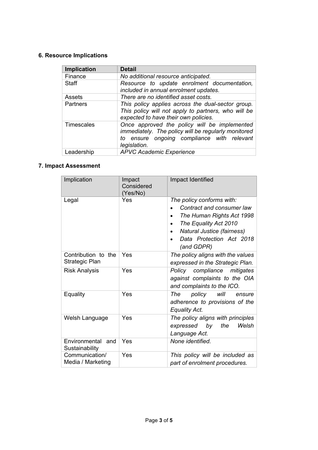#### <span id="page-4-0"></span>**6. Resource Implications**

| Implication | <b>Detail</b>                                                                                                                                                     |  |  |
|-------------|-------------------------------------------------------------------------------------------------------------------------------------------------------------------|--|--|
| Finance     | No additional resource anticipated.                                                                                                                               |  |  |
| Staff       | Resource to update enrolment documentation,<br>included in annual enrolment updates.                                                                              |  |  |
| Assets      | There are no identified asset costs.                                                                                                                              |  |  |
| Partners    | This policy applies across the dual-sector group.<br>This policy will not apply to partners, who will be<br>expected to have their own policies.                  |  |  |
| Timescales  | Once approved the policy will be implemented<br>immediately. The policy will be regularly monitored<br>to ensure ongoing compliance with relevant<br>legislation. |  |  |
| Leadership  | <b>APVC Academic Experience</b>                                                                                                                                   |  |  |

#### <span id="page-4-1"></span>**7. Impact Assessment**

<span id="page-4-2"></span>

| Implication                           | Impact<br>Considered<br>(Yes/No) | Impact Identified                                                                                                                                                                                                           |  |  |
|---------------------------------------|----------------------------------|-----------------------------------------------------------------------------------------------------------------------------------------------------------------------------------------------------------------------------|--|--|
| Legal                                 | Yes                              | The policy conforms with:<br>Contract and consumer law<br>The Human Rights Act 1998<br>$\bullet$<br>The Equality Act 2010<br>$\bullet$<br>Natural Justice (fairness)<br>$\bullet$<br>Data Protection Act 2018<br>(and GDPR) |  |  |
| Contribution to the<br>Strategic Plan | Yes                              | The policy aligns with the values<br>expressed in the Strategic Plan.                                                                                                                                                       |  |  |
| <b>Risk Analysis</b>                  | Yes                              | Policy compliance mitigates<br>against complaints to the OIA<br>and complaints to the ICO.                                                                                                                                  |  |  |
| Equality                              | Yes                              | policy<br>The<br>will<br>ensure<br>adherence to provisions of the<br>Equality Act.                                                                                                                                          |  |  |
| Welsh Language                        | Yes                              | The policy aligns with principles<br>the<br>Welsh<br>by<br>expressed<br>Language Act.                                                                                                                                       |  |  |
| Environmental and<br>Sustainability   | Yes                              | None identified.                                                                                                                                                                                                            |  |  |
| Communication/<br>Media / Marketing   | Yes                              | This policy will be included as<br>part of enrolment procedures.                                                                                                                                                            |  |  |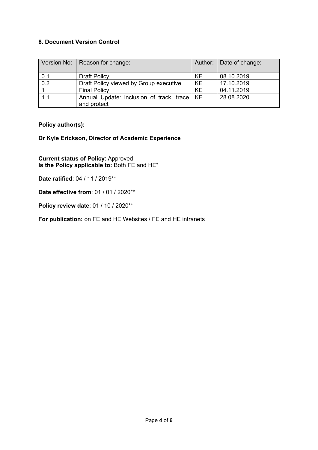#### **8. Document Version Control**

| Version No: | Reason for change:                            |           | Author:   Date of change: |
|-------------|-----------------------------------------------|-----------|---------------------------|
| 0.1         | <b>Draft Policy</b>                           | KE.       | 08.10.2019                |
| 0.2         | Draft Policy viewed by Group executive        | KE        | 17.10.2019                |
|             | <b>Final Policy</b>                           | <b>KE</b> | 04.11.2019                |
| 1.1         | Annual Update: inclusion of track, trace   KE |           | 28.08.2020                |
|             | and protect                                   |           |                           |

**Policy author(s):**

**Dr Kyle Erickson, Director of Academic Experience**

**Current status of Policy**: Approved **Is the Policy applicable to:** Both FE and HE\*

**Date ratified**: 04 / 11 / 2019\*\*

**Date effective from**: 01 / 01 / 2020\*\*

**Policy review date**: 01 / 10 / 2020\*\*

**For publication:** on FE and HE Websites / FE and HE intranets